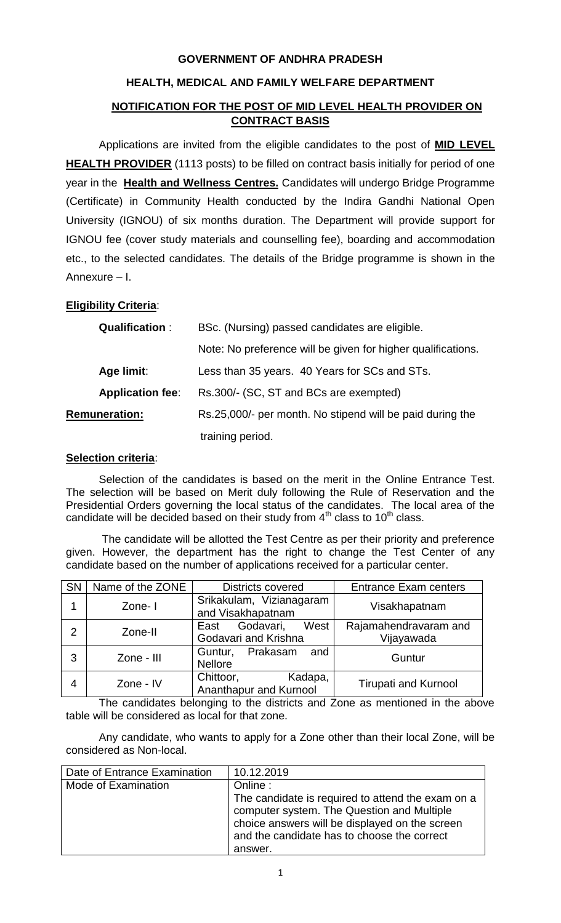#### **GOVERNMENT OF ANDHRA PRADESH**

# **HEALTH, MEDICAL AND FAMILY WELFARE DEPARTMENT NOTIFICATION FOR THE POST OF MID LEVEL HEALTH PROVIDER ON CONTRACT BASIS**

Applications are invited from the eligible candidates to the post of **MID LEVEL HEALTH PROVIDER** (1113 posts) to be filled on contract basis initially for period of one year in the **Health and Wellness Centres.** Candidates will undergo Bridge Programme (Certificate) in Community Health conducted by the Indira Gandhi National Open University (IGNOU) of six months duration. The Department will provide support for IGNOU fee (cover study materials and counselling fee), boarding and accommodation etc., to the selected candidates. The details of the Bridge programme is shown in the Annexure – I.

# **Eligibility Criteria**:

| <b>Qualification:</b>   | BSc. (Nursing) passed candidates are eligible.               |  |
|-------------------------|--------------------------------------------------------------|--|
|                         | Note: No preference will be given for higher qualifications. |  |
| Age limit:              | Less than 35 years. 40 Years for SCs and STs.                |  |
| <b>Application fee:</b> | Rs.300/- (SC, ST and BCs are exempted)                       |  |
| <b>Remuneration:</b>    | Rs.25,000/- per month. No stipend will be paid during the    |  |
|                         | training period.                                             |  |

### **Selection criteria**:

Selection of the candidates is based on the merit in the Online Entrance Test. The selection will be based on Merit duly following the Rule of Reservation and the Presidential Orders governing the local status of the candidates. The local area of the candidate will be decided based on their study from 4<sup>th</sup> class to 10<sup>th</sup> class.

The candidate will be allotted the Test Centre as per their priority and preference given. However, the department has the right to change the Test Center of any candidate based on the number of applications received for a particular center.

| <b>SN</b> | Name of the ZONE | <b>Districts covered</b>                       | <b>Entrance Exam centers</b>        |
|-----------|------------------|------------------------------------------------|-------------------------------------|
|           | Zone-I           | Srikakulam, Vizianagaram<br>and Visakhapatnam  | Visakhapatnam                       |
| 2         | Zone-II          | East Godavari,<br>West<br>Godavari and Krishna | Rajamahendravaram and<br>Vijayawada |
| 3         | Zone - III       | Prakasam<br>Guntur,<br>and<br><b>Nellore</b>   | Guntur                              |
| 4         | Zone - IV        | Chittoor,<br>Kadapa,<br>Ananthapur and Kurnool | <b>Tirupati and Kurnool</b>         |

The candidates belonging to the districts and Zone as mentioned in the above table will be considered as local for that zone.

Any candidate, who wants to apply for a Zone other than their local Zone, will be considered as Non-local.

| Date of Entrance Examination | 10.12.2019                                        |
|------------------------------|---------------------------------------------------|
| Mode of Examination          | Online:                                           |
|                              | The candidate is required to attend the exam on a |
|                              | computer system. The Question and Multiple        |
|                              | choice answers will be displayed on the screen    |
|                              | and the candidate has to choose the correct       |
|                              | answer.                                           |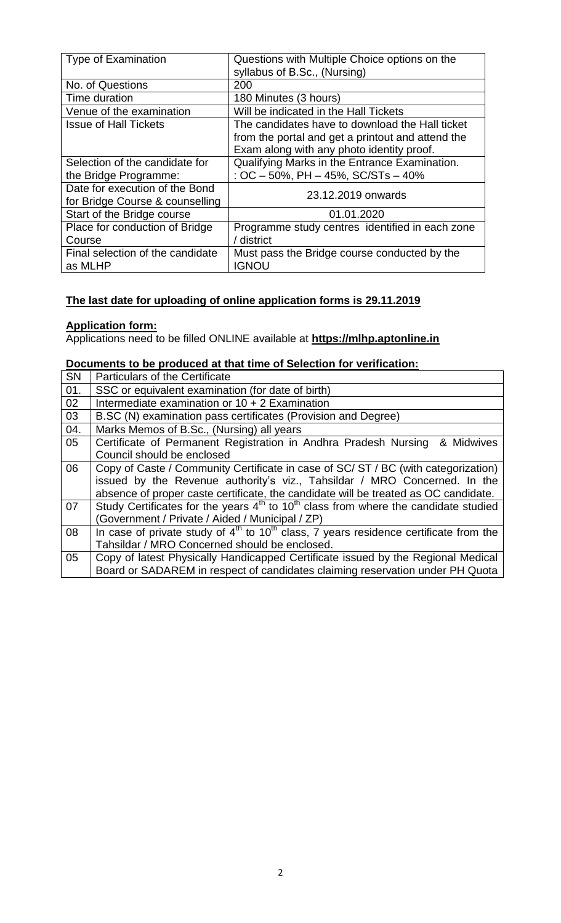| Questions with Multiple Choice options on the     |  |
|---------------------------------------------------|--|
| syllabus of B.Sc., (Nursing)                      |  |
| 200                                               |  |
| 180 Minutes (3 hours)                             |  |
| Will be indicated in the Hall Tickets             |  |
| The candidates have to download the Hall ticket   |  |
| from the portal and get a printout and attend the |  |
| Exam along with any photo identity proof.         |  |
| Qualifying Marks in the Entrance Examination.     |  |
| : $OC - 50\%$ , $PH - 45\%$ , $SC/STS - 40\%$     |  |
| 23.12.2019 onwards                                |  |
|                                                   |  |
| 01.01.2020                                        |  |
| Programme study centres identified in each zone   |  |
| / district                                        |  |
| Must pass the Bridge course conducted by the      |  |
| <b>IGNOU</b>                                      |  |
|                                                   |  |

# **The last date for uploading of online application forms is 29.11.2019**

#### **Application form:**

Applications need to be filled ONLINE available at **https://mlhp.aptonline.in**

### **Documents to be produced at that time of Selection for verification:**

| $\overline{\text{SN}}$ | <b>Particulars of the Certificate</b>                                                               |
|------------------------|-----------------------------------------------------------------------------------------------------|
| 01.                    | SSC or equivalent examination (for date of birth)                                                   |
| 02                     | Intermediate examination or $10 + 2$ Examination                                                    |
| 03                     | B.SC (N) examination pass certificates (Provision and Degree)                                       |
| 04.                    | Marks Memos of B.Sc., (Nursing) all years                                                           |
| 05                     | Certificate of Permanent Registration in Andhra Pradesh Nursing & Midwives                          |
|                        | Council should be enclosed                                                                          |
| 06                     | Copy of Caste / Community Certificate in case of SC/ST / BC (with categorization)                   |
|                        | issued by the Revenue authority's viz., Tahsildar / MRO Concerned. In the                           |
|                        | absence of proper caste certificate, the candidate will be treated as OC candidate.                 |
| 07                     | Study Certificates for the years $4th$ to 10 <sup>th</sup> class from where the candidate studied   |
|                        | (Government / Private / Aided / Municipal / ZP)                                                     |
| 08                     | In case of private study of $4th$ to 10 <sup>th</sup> class, 7 years residence certificate from the |
|                        | Tahsildar / MRO Concerned should be enclosed.                                                       |
| 05                     | Copy of latest Physically Handicapped Certificate issued by the Regional Medical                    |
|                        | Board or SADAREM in respect of candidates claiming reservation under PH Quota                       |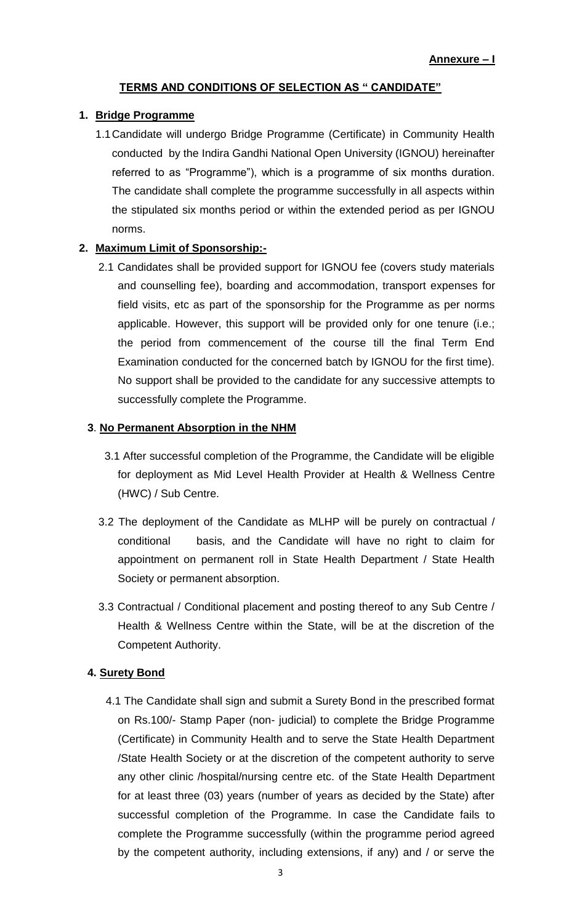# **TERMS AND CONDITIONS OF SELECTION AS " CANDIDATE"**

### **1. Bridge Programme**

1.1Candidate will undergo Bridge Programme (Certificate) in Community Health conducted by the Indira Gandhi National Open University (IGNOU) hereinafter referred to as "Programme"), which is a programme of six months duration. The candidate shall complete the programme successfully in all aspects within the stipulated six months period or within the extended period as per IGNOU norms.

# **2. Maximum Limit of Sponsorship:-**

2.1 Candidates shall be provided support for IGNOU fee (covers study materials and counselling fee), boarding and accommodation, transport expenses for field visits, etc as part of the sponsorship for the Programme as per norms applicable. However, this support will be provided only for one tenure (i.e.; the period from commencement of the course till the final Term End Examination conducted for the concerned batch by IGNOU for the first time). No support shall be provided to the candidate for any successive attempts to successfully complete the Programme.

# **3**. **No Permanent Absorption in the NHM**

- 3.1 After successful completion of the Programme, the Candidate will be eligible for deployment as Mid Level Health Provider at Health & Wellness Centre (HWC) / Sub Centre.
- 3.2 The deployment of the Candidate as MLHP will be purely on contractual / conditional basis, and the Candidate will have no right to claim for appointment on permanent roll in State Health Department / State Health Society or permanent absorption.
- 3.3 Contractual / Conditional placement and posting thereof to any Sub Centre / Health & Wellness Centre within the State, will be at the discretion of the Competent Authority.

# **4. Surety Bond**

 4.1 The Candidate shall sign and submit a Surety Bond in the prescribed format on Rs.100/- Stamp Paper (non- judicial) to complete the Bridge Programme (Certificate) in Community Health and to serve the State Health Department /State Health Society or at the discretion of the competent authority to serve any other clinic /hospital/nursing centre etc. of the State Health Department for at least three (03) years (number of years as decided by the State) after successful completion of the Programme. In case the Candidate fails to complete the Programme successfully (within the programme period agreed by the competent authority, including extensions, if any) and / or serve the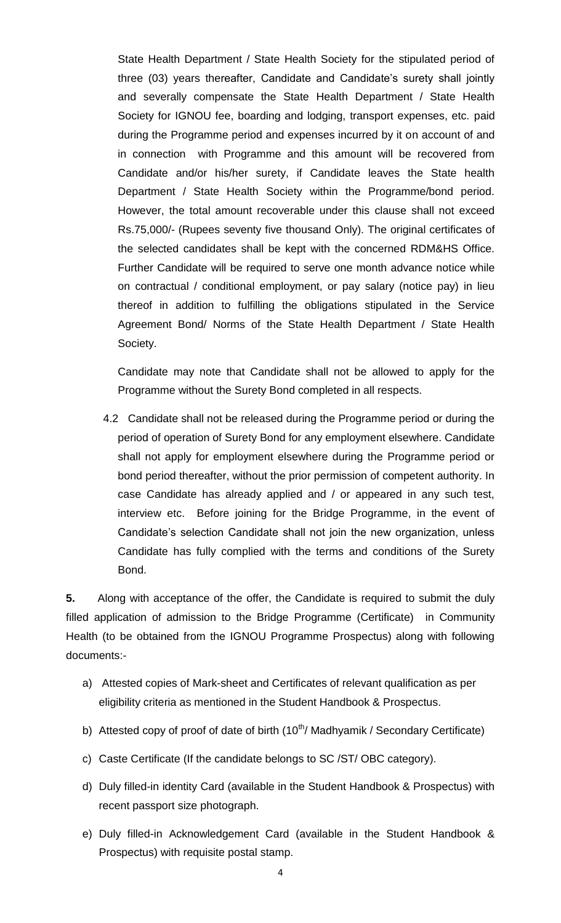State Health Department / State Health Society for the stipulated period of three (03) years thereafter, Candidate and Candidate's surety shall jointly and severally compensate the State Health Department / State Health Society for IGNOU fee, boarding and lodging, transport expenses, etc. paid during the Programme period and expenses incurred by it on account of and in connection with Programme and this amount will be recovered from Candidate and/or his/her surety, if Candidate leaves the State health Department / State Health Society within the Programme/bond period. However, the total amount recoverable under this clause shall not exceed Rs.75,000/- (Rupees seventy five thousand Only). The original certificates of the selected candidates shall be kept with the concerned RDM&HS Office. Further Candidate will be required to serve one month advance notice while on contractual / conditional employment, or pay salary (notice pay) in lieu thereof in addition to fulfilling the obligations stipulated in the Service Agreement Bond/ Norms of the State Health Department / State Health Society.

Candidate may note that Candidate shall not be allowed to apply for the Programme without the Surety Bond completed in all respects.

 4.2 Candidate shall not be released during the Programme period or during the period of operation of Surety Bond for any employment elsewhere. Candidate shall not apply for employment elsewhere during the Programme period or bond period thereafter, without the prior permission of competent authority. In case Candidate has already applied and / or appeared in any such test, interview etc. Before joining for the Bridge Programme, in the event of Candidate's selection Candidate shall not join the new organization, unless Candidate has fully complied with the terms and conditions of the Surety Bond.

**5.** Along with acceptance of the offer, the Candidate is required to submit the duly filled application of admission to the Bridge Programme (Certificate) in Community Health (to be obtained from the IGNOU Programme Prospectus) along with following documents:-

- a) Attested copies of Mark-sheet and Certificates of relevant qualification as per eligibility criteria as mentioned in the Student Handbook & Prospectus.
- b) Attested copy of proof of date of birth  $(10^{th}/$  Madhyamik / Secondary Certificate)
- c) Caste Certificate (If the candidate belongs to SC /ST/ OBC category).
- d) Duly filled-in identity Card (available in the Student Handbook & Prospectus) with recent passport size photograph.
- e) Duly filled-in Acknowledgement Card (available in the Student Handbook & Prospectus) with requisite postal stamp.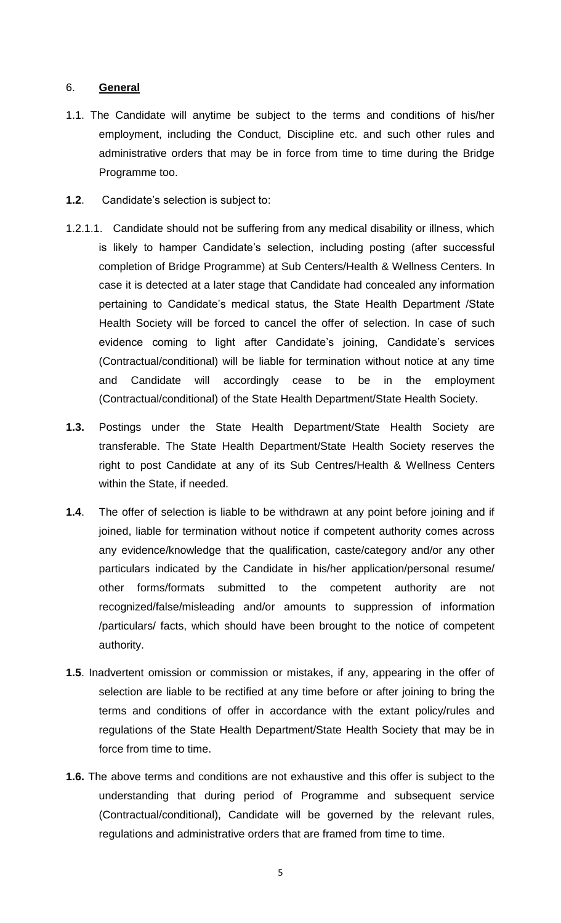### 6. **General**

- 1.1. The Candidate will anytime be subject to the terms and conditions of his/her employment, including the Conduct, Discipline etc. and such other rules and administrative orders that may be in force from time to time during the Bridge Programme too.
- **1.2**. Candidate's selection is subject to:
- 1.2.1.1. Candidate should not be suffering from any medical disability or illness, which is likely to hamper Candidate's selection, including posting (after successful completion of Bridge Programme) at Sub Centers/Health & Wellness Centers. In case it is detected at a later stage that Candidate had concealed any information pertaining to Candidate's medical status, the State Health Department /State Health Society will be forced to cancel the offer of selection. In case of such evidence coming to light after Candidate's joining, Candidate's services (Contractual/conditional) will be liable for termination without notice at any time and Candidate will accordingly cease to be in the employment (Contractual/conditional) of the State Health Department/State Health Society.
- **1.3.** Postings under the State Health Department/State Health Society are transferable. The State Health Department/State Health Society reserves the right to post Candidate at any of its Sub Centres/Health & Wellness Centers within the State, if needed.
- **1.4**. The offer of selection is liable to be withdrawn at any point before joining and if joined, liable for termination without notice if competent authority comes across any evidence/knowledge that the qualification, caste/category and/or any other particulars indicated by the Candidate in his/her application/personal resume/ other forms/formats submitted to the competent authority are not recognized/false/misleading and/or amounts to suppression of information /particulars/ facts, which should have been brought to the notice of competent authority.
- **1.5**. Inadvertent omission or commission or mistakes, if any, appearing in the offer of selection are liable to be rectified at any time before or after joining to bring the terms and conditions of offer in accordance with the extant policy/rules and regulations of the State Health Department/State Health Society that may be in force from time to time.
- **1.6.** The above terms and conditions are not exhaustive and this offer is subject to the understanding that during period of Programme and subsequent service (Contractual/conditional), Candidate will be governed by the relevant rules, regulations and administrative orders that are framed from time to time.